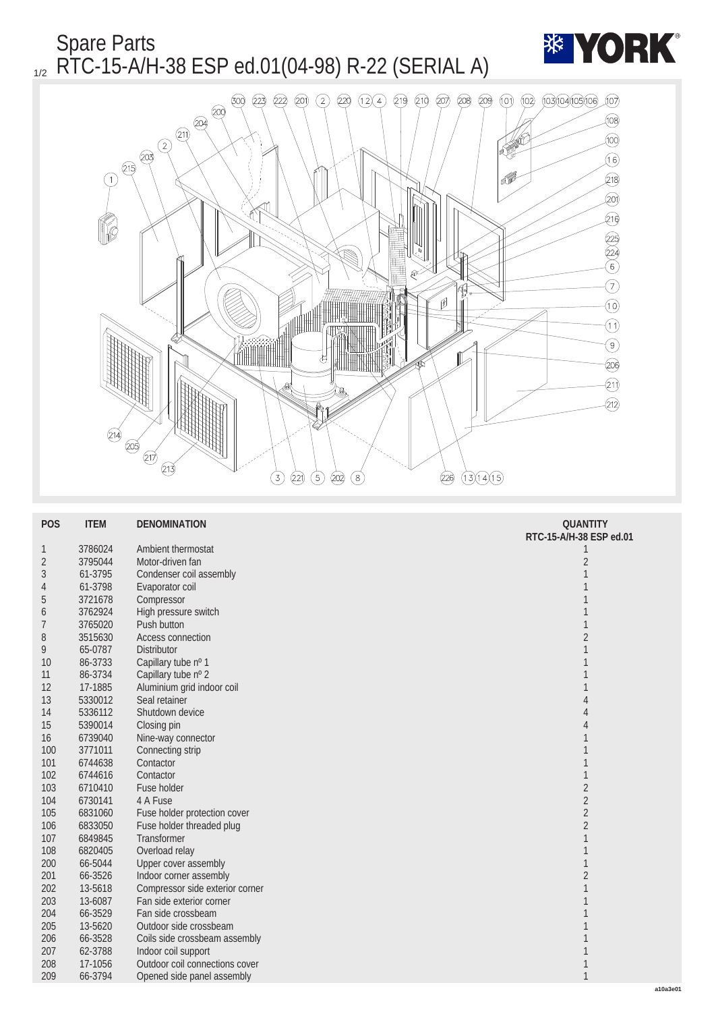Spare Parts  $_{1/2}$  RTC-15-A/H-38 ESP ed.01(04-98) R-22 (SERIAL A)





| <b>POS</b>       | <b>ITEM</b> | <b>DENOMINATION</b>             | <b>QUANTITY</b>         |
|------------------|-------------|---------------------------------|-------------------------|
|                  |             |                                 | RTC-15-A/H-38 ESP ed.01 |
| 1                | 3786024     | Ambient thermostat              | 1                       |
| $\boldsymbol{2}$ | 3795044     | Motor-driven fan                | $\sqrt{2}$              |
| 3                | 61-3795     | Condenser coil assembly         | 1                       |
| 4                | 61-3798     | Evaporator coil                 |                         |
| 5                | 3721678     | Compressor                      |                         |
| 6                | 3762924     | High pressure switch            |                         |
|                  | 3765020     | <b>Push button</b>              | 1                       |
| 8                | 3515630     | <b>Access connection</b>        | $\overline{2}$          |
| 9                | 65-0787     | <b>Distributor</b>              | $\mathbf{1}$            |
| 10               | 86-3733     | Capillary tube nº 1             |                         |
| 11               | 86-3734     | Capillary tube nº 2             |                         |
| 12               | 17-1885     | Aluminium grid indoor coil      |                         |
| 13               | 5330012     | Seal retainer                   | 4                       |
| 14               | 5336112     | Shutdown device                 | 4                       |
| 15               | 5390014     | Closing pin                     | 4                       |
| 16               | 6739040     | Nine-way connector              | 1                       |
| 100              | 3771011     | Connecting strip                |                         |
| 101              | 6744638     | Contactor                       |                         |
| 102              | 6744616     | Contactor                       | 1                       |
| 103              | 6710410     | <b>Fuse holder</b>              | $\overline{c}$          |
| 104              | 6730141     | 4 A Fuse                        | $\overline{c}$          |
| 105              | 6831060     | Fuse holder protection cover    | $\sqrt{2}$              |
| 106              | 6833050     | Fuse holder threaded plug       | $\sqrt{2}$              |
| 107              | 6849845     | <b>Transformer</b>              | 1                       |
| 108              | 6820405     | Overload relay                  |                         |
| 200              | 66-5044     | <b>Upper cover assembly</b>     |                         |
| 201              | 66-3526     | Indoor corner assembly          | $\sqrt{2}$              |
| 202              | 13-5618     | Compressor side exterior corner |                         |
| 203              | 13-6087     | Fan side exterior corner        |                         |
| 204              | 66-3529     | Fan side crossbeam              |                         |
| 205              | 13-5620     | Outdoor side crossbeam          |                         |
| 206              | 66-3528     | Coils side crossbeam assembly   |                         |
| 207              | 62-3788     | Indoor coil support             |                         |
| 208              | 17-1056     | Outdoor coil connections cover  |                         |
| 209              | 66-3794     | Opened side panel assembly      | $\mathbf{1}$            |
|                  |             |                                 |                         |